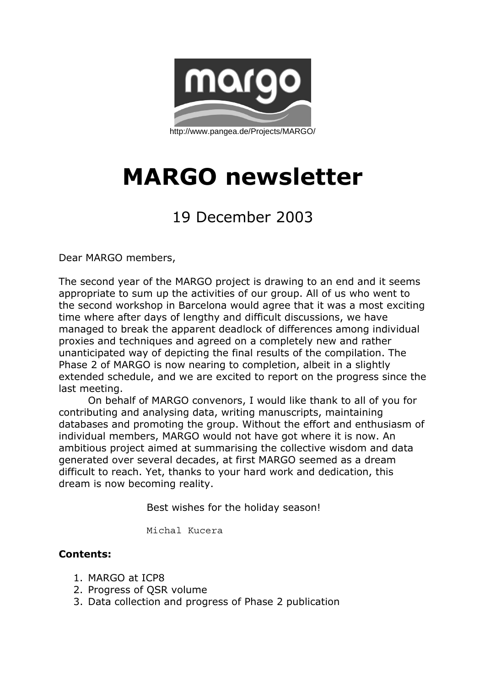

# **MARGO newsletter**

## 19 December 2003

Dear MARGO members,

The second year of the MARGO project is drawing to an end and it seems appropriate to sum up the activities of our group. All of us who went to the second workshop in Barcelona would agree that it was a most exciting time where after days of lengthy and difficult discussions, we have managed to break the apparent deadlock of differences among individual proxies and techniques and agreed on a completely new and rather unanticipated way of depicting the final results of the compilation. The Phase 2 of MARGO is now nearing to completion, albeit in a slightly extended schedule, and we are excited to report on the progress since the last meeting.

 On behalf of MARGO convenors, I would like thank to all of you for contributing and analysing data, writing manuscripts, maintaining databases and promoting the group. Without the effort and enthusiasm of individual members, MARGO would not have got where it is now. An ambitious project aimed at summarising the collective wisdom and data generated over several decades, at first MARGO seemed as a dream difficult to reach. Yet, thanks to your hard work and dedication, this dream is now becoming reality.

Best wishes for the holiday season!

Michal Kucera

#### **Contents:**

- 1. MARGO at ICP8
- 2. Progress of QSR volume
- 3. Data collection and progress of Phase 2 publication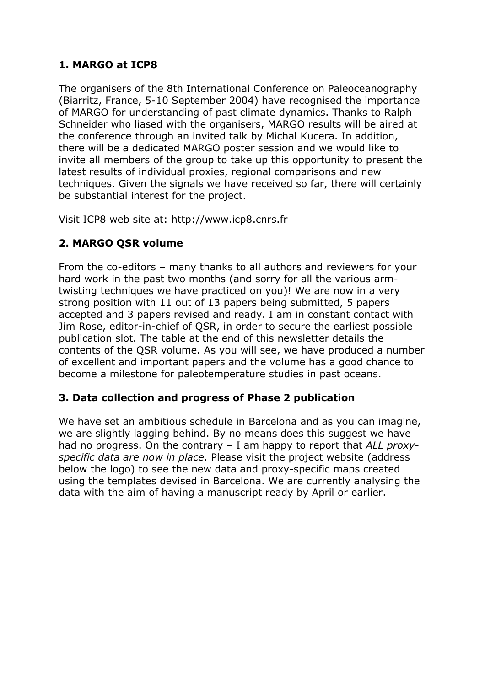### **1. MARGO at ICP8**

The organisers of the 8th International Conference on Paleoceanography (Biarritz, France, 5-10 September 2004) have recognised the importance of MARGO for understanding of past climate dynamics. Thanks to Ralph Schneider who liased with the organisers, MARGO results will be aired at the conference through an invited talk by Michal Kucera. In addition, there will be a dedicated MARGO poster session and we would like to invite all members of the group to take up this opportunity to present the latest results of individual proxies, regional comparisons and new techniques. Given the signals we have received so far, there will certainly be substantial interest for the project.

Visit ICP8 web site at: http://www.icp8.cnrs.fr

#### **2. MARGO QSR volume**

From the co-editors – many thanks to all authors and reviewers for your hard work in the past two months (and sorry for all the various armtwisting techniques we have practiced on you)! We are now in a very strong position with 11 out of 13 papers being submitted, 5 papers accepted and 3 papers revised and ready. I am in constant contact with Jim Rose, editor-in-chief of QSR, in order to secure the earliest possible publication slot. The table at the end of this newsletter details the contents of the QSR volume. As you will see, we have produced a number of excellent and important papers and the volume has a good chance to become a milestone for paleotemperature studies in past oceans.

#### **3. Data collection and progress of Phase 2 publication**

We have set an ambitious schedule in Barcelona and as you can imagine, we are slightly lagging behind. By no means does this suggest we have had no progress. On the contrary – I am happy to report that *ALL proxyspecific data are now in place*. Please visit the project website (address below the logo) to see the new data and proxy-specific maps created using the templates devised in Barcelona. We are currently analysing the data with the aim of having a manuscript ready by April or earlier.